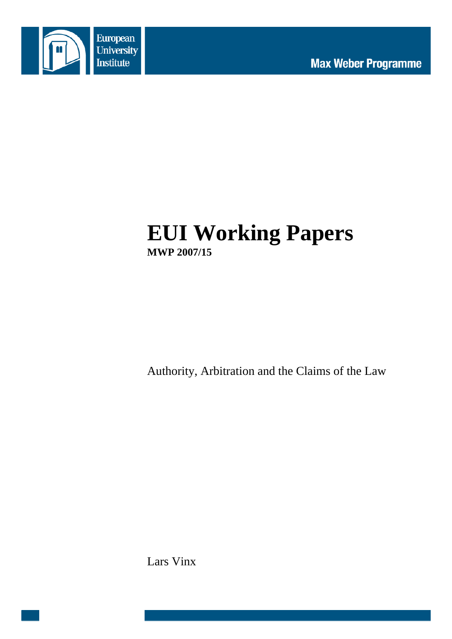

# **EUI Working Papers MWP 2007/15**

Authority, Arbitration and the Claims of the Law

Lars Vinx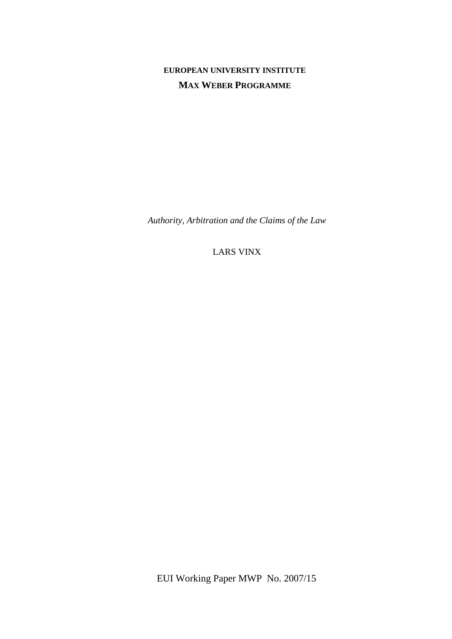# **EUROPEAN UNIVERSITY INSTITUTE MAX WEBER PROGRAMME**

*Authority, Arbitration and the Claims of the Law* 

LARS VINX

EUI Working Paper MWP No. 2007/15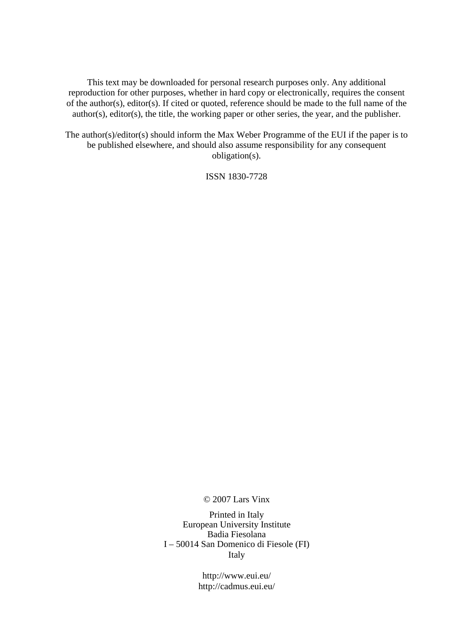This text may be downloaded for personal research purposes only. Any additional reproduction for other purposes, whether in hard copy or electronically, requires the consent of the author(s), editor(s). If cited or quoted, reference should be made to the full name of the author(s), editor(s), the title, the working paper or other series, the year, and the publisher.

The author(s)/editor(s) should inform the Max Weber Programme of the EUI if the paper is to be published elsewhere, and should also assume responsibility for any consequent obligation(s).

ISSN 1830-7728

© 2007 Lars Vinx

Printed in Italy European University Institute Badia Fiesolana I – 50014 San Domenico di Fiesole (FI) Italy

> http://www.eui.eu/ http://cadmus.eui.eu/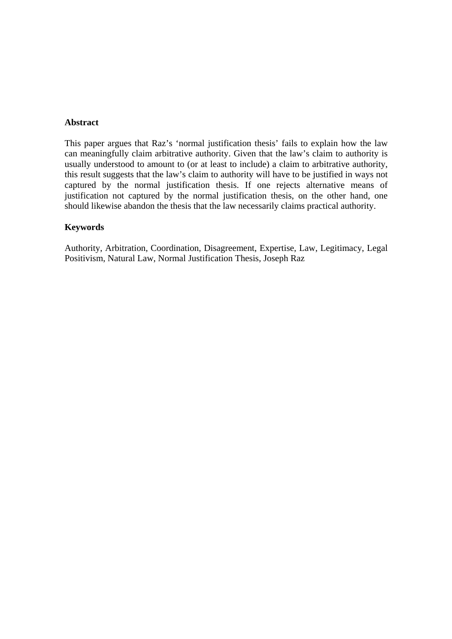#### **Abstract**

This paper argues that Raz's 'normal justification thesis' fails to explain how the law can meaningfully claim arbitrative authority. Given that the law's claim to authority is usually understood to amount to (or at least to include) a claim to arbitrative authority, this result suggests that the law's claim to authority will have to be justified in ways not captured by the normal justification thesis. If one rejects alternative means of justification not captured by the normal justification thesis, on the other hand, one should likewise abandon the thesis that the law necessarily claims practical authority.

#### **Keywords**

Authority, Arbitration, Coordination, Disagreement, Expertise, Law, Legitimacy, Legal Positivism, Natural Law, Normal Justification Thesis, Joseph Raz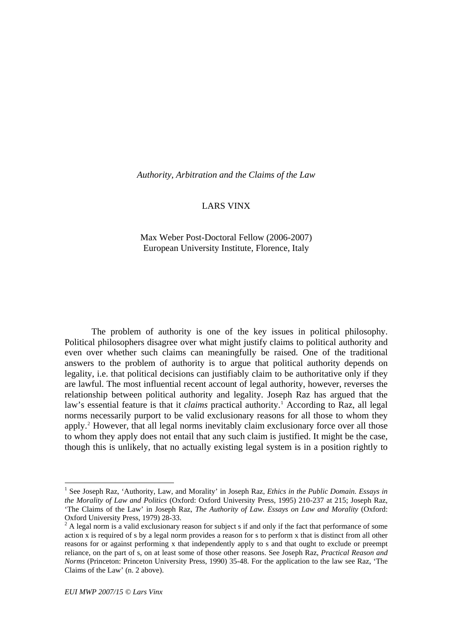<span id="page-6-0"></span>*Authority, Arbitration and the Claims of the Law* 

#### LARS VINX

#### Max Weber Post-Doctoral Fellow (2006-2007) European University Institute, Florence, Italy

The problem of authority is one of the key issues in political philosophy. Political philosophers disagree over what might justify claims to political authority and even over whether such claims can meaningfully be raised. One of the traditional answers to the problem of authority is to argue that political authority depends on legality, i.e. that political decisions can justifiably claim to be authoritative only if they are lawful. The most influential recent account of legal authority, however, reverses the relationship between political authority and legality. Joseph Raz has argued that the law's essential feature is that it *claims* practical authority.<sup>[1](#page-6-0)</sup> According to Raz, all legal norms necessarily purport to be valid exclusionary reasons for all those to whom they apply.<sup>[2](#page-6-0)</sup> However, that all legal norms inevitably claim exclusionary force over all those to whom they apply does not entail that any such claim is justified. It might be the case, though this is unlikely, that no actually existing legal system is in a position rightly to

<sup>&</sup>lt;sup>1</sup> See Joseph Raz, 'Authority, Law, and Morality' in Joseph Raz, *Ethics in the Public Domain. Essays in the Morality of Law and Politics* (Oxford: Oxford University Press, 1995) 210-237 at 215; Joseph Raz, 'The Claims of the Law' in Joseph Raz, *The Authority of Law. Essays on Law and Morality* (Oxford: Oxford University Press, 1979) 28-33.

 $2^2$  A legal norm is a valid exclusionary reason for subject s if and only if the fact that performance of some action x is required of s by a legal norm provides a reason for s to perform x that is distinct from all other reasons for or against performing x that independently apply to s and that ought to exclude or preempt reliance, on the part of s, on at least some of those other reasons. See Joseph Raz, *Practical Reason and Norms* (Princeton: Princeton University Press, 1990) 35-48. For the application to the law see Raz, 'The Claims of the Law' (n. 2 above).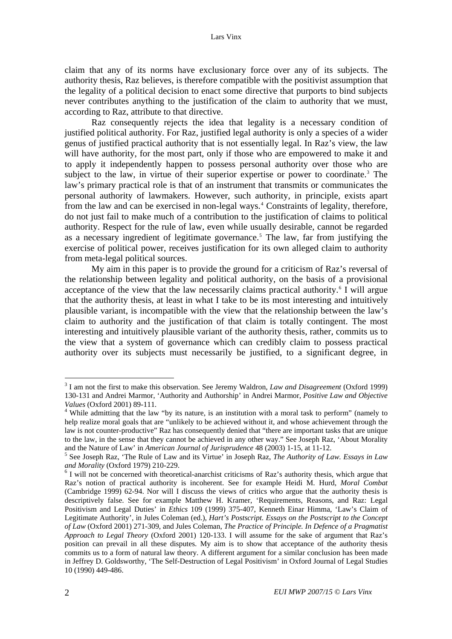<span id="page-7-0"></span>claim that any of its norms have exclusionary force over any of its subjects. The authority thesis, Raz believes, is therefore compatible with the positivist assumption that the legality of a political decision to enact some directive that purports to bind subjects never contributes anything to the justification of the claim to authority that we must, according to Raz, attribute to that directive.

Raz consequently rejects the idea that legality is a necessary condition of justified political authority. For Raz, justified legal authority is only a species of a wider genus of justified practical authority that is not essentially legal. In Raz's view, the law will have authority, for the most part, only if those who are empowered to make it and to apply it independently happen to possess personal authority over those who are subject to the law, in virtue of their superior expertise or power to coordinate.<sup>[3](#page-7-0)</sup> The law's primary practical role is that of an instrument that transmits or communicates the personal authority of lawmakers. However, such authority, in principle, exists apart from the law and can be exercised in non-legal ways.<sup>[4](#page-7-0)</sup> Constraints of legality, therefore, do not just fail to make much of a contribution to the justification of claims to political authority. Respect for the rule of law, even while usually desirable, cannot be regarded as a necessary ingredient of legitimate governance.<sup>[5](#page-7-0)</sup> The law, far from justifying the exercise of political power, receives justification for its own alleged claim to authority from meta-legal political sources.

My aim in this paper is to provide the ground for a criticism of Raz's reversal of the relationship between legality and political authority, on the basis of a provisional acceptance of the view that the law necessarily claims practical authority.<sup>[6](#page-7-0)</sup> I will argue that the authority thesis, at least in what I take to be its most interesting and intuitively plausible variant, is incompatible with the view that the relationship between the law's claim to authority and the justification of that claim is totally contingent. The most interesting and intuitively plausible variant of the authority thesis, rather, commits us to the view that a system of governance which can credibly claim to possess practical authority over its subjects must necessarily be justified, to a significant degree, in

 3 I am not the first to make this observation. See Jeremy Waldron, *Law and Disagreement* (Oxford 1999) 130-131 and Andrei Marmor, 'Authority and Authorship' in Andrei Marmor, *Positive Law and Objective Values* (Oxford 2001) 89-111. 4

While admitting that the law "by its nature, is an institution with a moral task to perform" (namely to help realize moral goals that are "unlikely to be achieved without it, and whose achievement through the law is not counter-productive" Raz has consequently denied that "there are important tasks that are unique to the law, in the sense that they cannot be achieved in any other way." See Joseph Raz, 'About Morality and the Nature of Law' in *American Journal of Jurisprudence* 48 (2003) 1-15, at 11-12.

See Joseph Raz, 'The Rule of Law and its Virtue' in Joseph Raz, *The Authority of Law. Essays in Law and Morality* (Oxford 1979) 210-229.

 $\delta$  I will not be concerned with theoretical-anarchist criticisms of Raz's authority thesis, which argue that Raz's notion of practical authority is incoherent. See for example Heidi M. Hurd, *Moral Combat* (Cambridge 1999) 62-94. Nor will I discuss the views of critics who argue that the authority thesis is descriptively false. See for example Matthew H. Kramer, 'Requirements, Reasons, and Raz: Legal Positivism and Legal Duties' in *Ethics* 109 (1999) 375-407, Kenneth Einar Himma, 'Law's Claim of Legitimate Authority', in Jules Coleman (ed.), *Hart's Postscript. Essays on the Postscript to the Concept of Law* (Oxford 2001) 271-309, and Jules Coleman, *The Practice of Principle. In Defence of a Pragmatist Approach to Legal Theory* (Oxford 2001) 120-133. I will assume for the sake of argument that Raz's position can prevail in all these disputes. My aim is to show that acceptance of the authority thesis commits us to a form of natural law theory. A different argument for a similar conclusion has been made in Jeffrey D. Goldsworthy, 'The Self-Destruction of Legal Positivism' in Oxford Journal of Legal Studies 10 (1990) 449-486.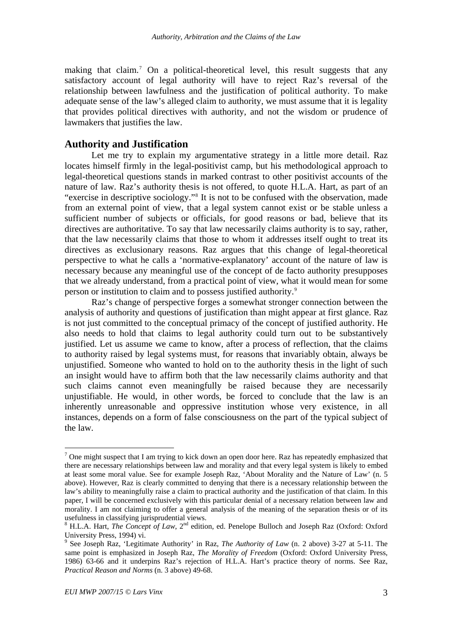<span id="page-8-0"></span>making that claim.<sup>[7](#page-8-0)</sup> On a political-theoretical level, this result suggests that any satisfactory account of legal authority will have to reject Raz's reversal of the relationship between lawfulness and the justification of political authority. To make adequate sense of the law's alleged claim to authority, we must assume that it is legality that provides political directives with authority, and not the wisdom or prudence of lawmakers that justifies the law.

#### **Authority and Justification**

Let me try to explain my argumentative strategy in a little more detail. Raz locates himself firmly in the legal-positivist camp, but his methodological approach to legal-theoretical questions stands in marked contrast to other positivist accounts of the nature of law. Raz's authority thesis is not offered, to quote H.L.A. Hart, as part of an "exercise in descriptive sociology."[8](#page-8-0) It is not to be confused with the observation, made from an external point of view, that a legal system cannot exist or be stable unless a sufficient number of subjects or officials, for good reasons or bad, believe that its directives are authoritative. To say that law necessarily claims authority is to say, rather, that the law necessarily claims that those to whom it addresses itself ought to treat its directives as exclusionary reasons. Raz argues that this change of legal-theoretical perspective to what he calls a 'normative-explanatory' account of the nature of law is necessary because any meaningful use of the concept of de facto authority presupposes that we already understand, from a practical point of view, what it would mean for some person or institution to claim and to possess justified authority.<sup>[9](#page-8-0)</sup>

Raz's change of perspective forges a somewhat stronger connection between the analysis of authority and questions of justification than might appear at first glance. Raz is not just committed to the conceptual primacy of the concept of justified authority. He also needs to hold that claims to legal authority could turn out to be substantively justified. Let us assume we came to know, after a process of reflection, that the claims to authority raised by legal systems must, for reasons that invariably obtain, always be unjustified. Someone who wanted to hold on to the authority thesis in the light of such an insight would have to affirm both that the law necessarily claims authority and that such claims cannot even meaningfully be raised because they are necessarily unjustifiable. He would, in other words, be forced to conclude that the law is an inherently unreasonable and oppressive institution whose very existence, in all instances, depends on a form of false consciousness on the part of the typical subject of the law.

 $<sup>7</sup>$  One might suspect that I am trying to kick down an open door here. Raz has repeatedly emphasized that</sup> there are necessary relationships between law and morality and that every legal system is likely to embed at least some moral value. See for example Joseph Raz, 'About Morality and the Nature of Law' (n. 5 above). However, Raz is clearly committed to denying that there is a necessary relationship between the law's ability to meaningfully raise a claim to practical authority and the justification of that claim. In this paper, I will be concerned exclusively with this particular denial of a necessary relation between law and morality. I am not claiming to offer a general analysis of the meaning of the separation thesis or of its usefulness in classifying jurisprudential views.

<sup>&</sup>lt;sup>8</sup> H.L.A. Hart, *The Concept of Law*, 2<sup>nd</sup> edition, ed. Penelope Bulloch and Joseph Raz (Oxford: Oxford University Press, 1994) vi.

<sup>9</sup> See Joseph Raz, 'Legitimate Authority' in Raz, *The Authority of Law* (n. 2 above) 3-27 at 5-11. The same point is emphasized in Joseph Raz, *The Morality of Freedom* (Oxford: Oxford University Press, 1986) 63-66 and it underpins Raz's rejection of H.L.A. Hart's practice theory of norms. See Raz, *Practical Reason and Norms* (n. 3 above) 49-68.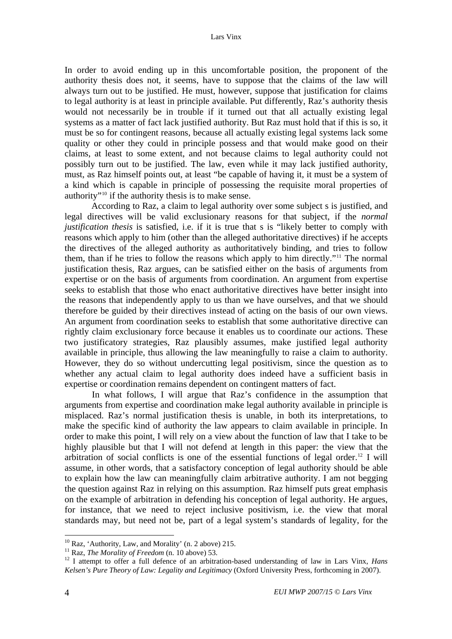<span id="page-9-0"></span>In order to avoid ending up in this uncomfortable position, the proponent of the authority thesis does not, it seems, have to suppose that the claims of the law will always turn out to be justified. He must, however, suppose that justification for claims to legal authority is at least in principle available. Put differently, Raz's authority thesis would not necessarily be in trouble if it turned out that all actually existing legal systems as a matter of fact lack justified authority. But Raz must hold that if this is so, it must be so for contingent reasons, because all actually existing legal systems lack some quality or other they could in principle possess and that would make good on their claims, at least to some extent, and not because claims to legal authority could not possibly turn out to be justified. The law, even while it may lack justified authority, must, as Raz himself points out, at least "be capable of having it, it must be a system of a kind which is capable in principle of possessing the requisite moral properties of authority"[10](#page-9-0) if the authority thesis is to make sense.

According to Raz, a claim to legal authority over some subject s is justified, and legal directives will be valid exclusionary reasons for that subject, if the *normal justification thesis* is satisfied, i.e. if it is true that s is "likely better to comply with reasons which apply to him (other than the alleged authoritative directives) if he accepts the directives of the alleged authority as authoritatively binding, and tries to follow them, than if he tries to follow the reasons which apply to him directly."[11](#page-9-0) The normal justification thesis, Raz argues, can be satisfied either on the basis of arguments from expertise or on the basis of arguments from coordination. An argument from expertise seeks to establish that those who enact authoritative directives have better insight into the reasons that independently apply to us than we have ourselves, and that we should therefore be guided by their directives instead of acting on the basis of our own views. An argument from coordination seeks to establish that some authoritative directive can rightly claim exclusionary force because it enables us to coordinate our actions. These two justificatory strategies, Raz plausibly assumes, make justified legal authority available in principle, thus allowing the law meaningfully to raise a claim to authority. However, they do so without undercutting legal positivism, since the question as to whether any actual claim to legal authority does indeed have a sufficient basis in expertise or coordination remains dependent on contingent matters of fact.

In what follows, I will argue that Raz's confidence in the assumption that arguments from expertise and coordination make legal authority available in principle is misplaced. Raz's normal justification thesis is unable, in both its interpretations, to make the specific kind of authority the law appears to claim available in principle. In order to make this point, I will rely on a view about the function of law that I take to be highly plausible but that I will not defend at length in this paper: the view that the arbitration of social conflicts is one of the essential functions of legal order.<sup>[12](#page-9-0)</sup> I will assume, in other words, that a satisfactory conception of legal authority should be able to explain how the law can meaningfully claim arbitrative authority. I am not begging the question against Raz in relying on this assumption. Raz himself puts great emphasis on the example of arbitration in defending his conception of legal authority. He argues, for instance, that we need to reject inclusive positivism, i.e. the view that moral standards may, but need not be, part of a legal system's standards of legality, for the

 $10$  Raz, 'Authority, Law, and Morality' (n. 2 above) 215.

<sup>11</sup> Raz, *The Morality of Freedom* (n. 10 above) 53.<br><sup>12</sup> I attempt to offer a full defence of an arbitration-based understanding of law in Lars Vinx, *Hans Kelsen's Pure Theory of Law: Legality and Legitimacy* (Oxford University Press, forthcoming in 2007).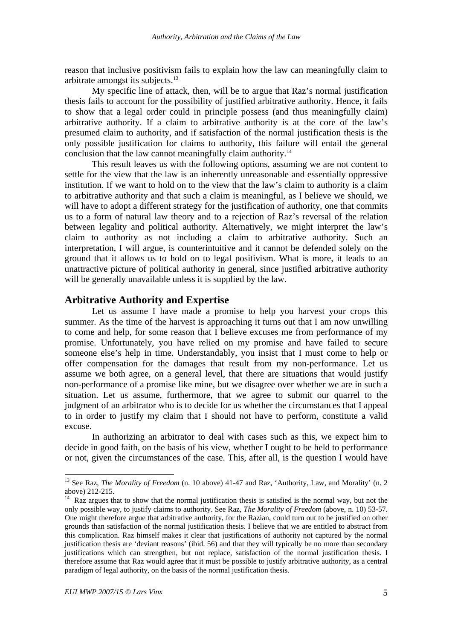<span id="page-10-0"></span>reason that inclusive positivism fails to explain how the law can meaningfully claim to arbitrate amongst its subjects.[13](#page-10-0)

My specific line of attack, then, will be to argue that Raz's normal justification thesis fails to account for the possibility of justified arbitrative authority. Hence, it fails to show that a legal order could in principle possess (and thus meaningfully claim) arbitrative authority. If a claim to arbitrative authority is at the core of the law's presumed claim to authority, and if satisfaction of the normal justification thesis is the only possible justification for claims to authority, this failure will entail the general conclusion that the law cannot meaningfully claim authority.<sup>14</sup>

This result leaves us with the following options, assuming we are not content to settle for the view that the law is an inherently unreasonable and essentially oppressive institution. If we want to hold on to the view that the law's claim to authority is a claim to arbitrative authority and that such a claim is meaningful, as I believe we should, we will have to adopt a different strategy for the justification of authority, one that commits us to a form of natural law theory and to a rejection of Raz's reversal of the relation between legality and political authority. Alternatively, we might interpret the law's claim to authority as not including a claim to arbitrative authority. Such an interpretation, I will argue, is counterintuitive and it cannot be defended solely on the ground that it allows us to hold on to legal positivism. What is more, it leads to an unattractive picture of political authority in general, since justified arbitrative authority will be generally unavailable unless it is supplied by the law.

#### **Arbitrative Authority and Expertise**

Let us assume I have made a promise to help you harvest your crops this summer. As the time of the harvest is approaching it turns out that I am now unwilling to come and help, for some reason that I believe excuses me from performance of my promise. Unfortunately, you have relied on my promise and have failed to secure someone else's help in time. Understandably, you insist that I must come to help or offer compensation for the damages that result from my non-performance. Let us assume we both agree, on a general level, that there are situations that would justify non-performance of a promise like mine, but we disagree over whether we are in such a situation. Let us assume, furthermore, that we agree to submit our quarrel to the judgment of an arbitrator who is to decide for us whether the circumstances that I appeal to in order to justify my claim that I should not have to perform, constitute a valid excuse.

In authorizing an arbitrator to deal with cases such as this, we expect him to decide in good faith, on the basis of his view, whether I ought to be held to performance or not, given the circumstances of the case. This, after all, is the question I would have

<sup>&</sup>lt;sup>13</sup> See Raz, *The Morality of Freedom* (n. 10 above) 41-47 and Raz, 'Authority, Law, and Morality' (n. 2 above) 212-215.

 $14$  Raz argues that to show that the normal justification thesis is satisfied is the normal way, but not the only possible way, to justify claims to authority. See Raz, *The Morality of Freedom* (above, n. 10) 53-57. One might therefore argue that arbitrative authority, for the Razian, could turn out to be justified on other grounds than satisfaction of the normal justification thesis. I believe that we are entitled to abstract from this complication. Raz himself makes it clear that justifications of authority not captured by the normal justification thesis are 'deviant reasons' (ibid. 56) and that they will typically be no more than secondary justifications which can strengthen, but not replace, satisfaction of the normal justification thesis. I therefore assume that Raz would agree that it must be possible to justify arbitrative authority, as a central paradigm of legal authority, on the basis of the normal justification thesis.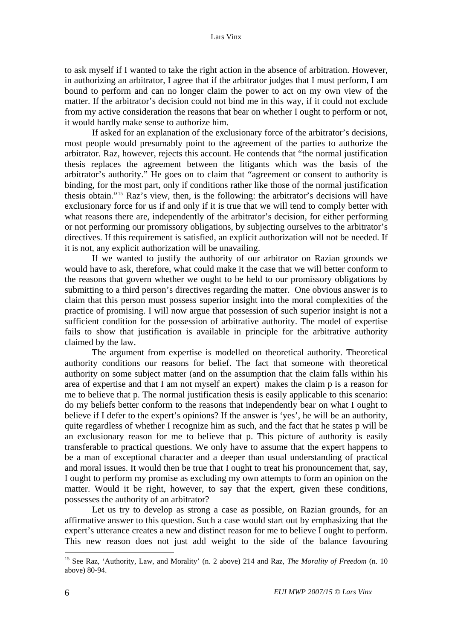<span id="page-11-0"></span>to ask myself if I wanted to take the right action in the absence of arbitration. However, in authorizing an arbitrator, I agree that if the arbitrator judges that I must perform, I am bound to perform and can no longer claim the power to act on my own view of the matter. If the arbitrator's decision could not bind me in this way, if it could not exclude from my active consideration the reasons that bear on whether I ought to perform or not, it would hardly make sense to authorize him.

If asked for an explanation of the exclusionary force of the arbitrator's decisions, most people would presumably point to the agreement of the parties to authorize the arbitrator. Raz, however, rejects this account. He contends that "the normal justification thesis replaces the agreement between the litigants which was the basis of the arbitrator's authority." He goes on to claim that "agreement or consent to authority is binding, for the most part, only if conditions rather like those of the normal justification thesis obtain."[15](#page-11-0) Raz's view, then, is the following: the arbitrator's decisions will have exclusionary force for us if and only if it is true that we will tend to comply better with what reasons there are, independently of the arbitrator's decision, for either performing or not performing our promissory obligations, by subjecting ourselves to the arbitrator's directives. If this requirement is satisfied, an explicit authorization will not be needed. If it is not, any explicit authorization will be unavailing.

If we wanted to justify the authority of our arbitrator on Razian grounds we would have to ask, therefore, what could make it the case that we will better conform to the reasons that govern whether we ought to be held to our promissory obligations by submitting to a third person's directives regarding the matter. One obvious answer is to claim that this person must possess superior insight into the moral complexities of the practice of promising. I will now argue that possession of such superior insight is not a sufficient condition for the possession of arbitrative authority. The model of expertise fails to show that justification is available in principle for the arbitrative authority claimed by the law.

The argument from expertise is modelled on theoretical authority. Theoretical authority conditions our reasons for belief. The fact that someone with theoretical authority on some subject matter (and on the assumption that the claim falls within his area of expertise and that I am not myself an expert) makes the claim p is a reason for me to believe that p. The normal justification thesis is easily applicable to this scenario: do my beliefs better conform to the reasons that independently bear on what I ought to believe if I defer to the expert's opinions? If the answer is 'yes', he will be an authority, quite regardless of whether I recognize him as such, and the fact that he states p will be an exclusionary reason for me to believe that p. This picture of authority is easily transferable to practical questions. We only have to assume that the expert happens to be a man of exceptional character and a deeper than usual understanding of practical and moral issues. It would then be true that I ought to treat his pronouncement that, say, I ought to perform my promise as excluding my own attempts to form an opinion on the matter. Would it be right, however, to say that the expert, given these conditions, possesses the authority of an arbitrator?

Let us try to develop as strong a case as possible, on Razian grounds, for an affirmative answer to this question. Such a case would start out by emphasizing that the expert's utterance creates a new and distinct reason for me to believe I ought to perform. This new reason does not just add weight to the side of the balance favouring

<sup>15</sup> See Raz, 'Authority, Law, and Morality' (n. 2 above) 214 and Raz, *The Morality of Freedom* (n. 10 above) 80-94.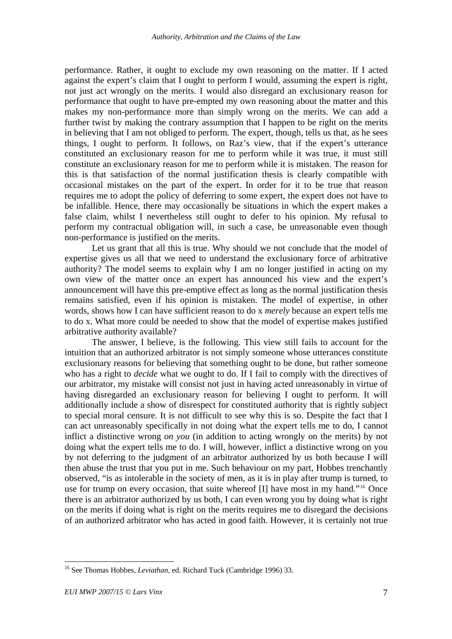<span id="page-12-0"></span>performance. Rather, it ought to exclude my own reasoning on the matter. If I acted against the expert's claim that I ought to perform I would, assuming the expert is right, not just act wrongly on the merits. I would also disregard an exclusionary reason for performance that ought to have pre-empted my own reasoning about the matter and this makes my non-performance more than simply wrong on the merits. We can add a further twist by making the contrary assumption that I happen to be right on the merits in believing that I am not obliged to perform. The expert, though, tells us that, as he sees things, I ought to perform. It follows, on Raz's view, that if the expert's utterance constituted an exclusionary reason for me to perform while it was true, it must still constitute an exclusionary reason for me to perform while it is mistaken. The reason for this is that satisfaction of the normal justification thesis is clearly compatible with occasional mistakes on the part of the expert. In order for it to be true that reason requires me to adopt the policy of deferring to some expert, the expert does not have to be infallible. Hence, there may occasionally be situations in which the expert makes a false claim, whilst I nevertheless still ought to defer to his opinion. My refusal to perform my contractual obligation will, in such a case, be unreasonable even though non-performance is justified on the merits.

Let us grant that all this is true. Why should we not conclude that the model of expertise gives us all that we need to understand the exclusionary force of arbitrative authority? The model seems to explain why I am no longer justified in acting on my own view of the matter once an expert has announced his view and the expert's announcement will have this pre-emptive effect as long as the normal justification thesis remains satisfied, even if his opinion is mistaken. The model of expertise, in other words, shows how I can have sufficient reason to do x *merely* because an expert tells me to do x. What more could be needed to show that the model of expertise makes justified arbitrative authority available?

The answer, I believe, is the following. This view still fails to account for the intuition that an authorized arbitrator is not simply someone whose utterances constitute exclusionary reasons for believing that something ought to be done, but rather someone who has a right to *decide* what we ought to do. If I fail to comply with the directives of our arbitrator, my mistake will consist not just in having acted unreasonably in virtue of having disregarded an exclusionary reason for believing I ought to perform. It will additionally include a show of disrespect for constituted authority that is rightly subject to special moral censure. It is not difficult to see why this is so. Despite the fact that I can act unreasonably specifically in not doing what the expert tells me to do, I cannot inflict a distinctive wrong *on you* (in addition to acting wrongly on the merits) by not doing what the expert tells me to do. I will, however, inflict a distinctive wrong on you by not deferring to the judgment of an arbitrator authorized by us both because I will then abuse the trust that you put in me. Such behaviour on my part, Hobbes trenchantly observed, "is as intolerable in the society of men, as it is in play after trump is turned, to use for trump on every occasion, that suite whereof [I] have most in my hand."[16](#page-12-0) Once there is an arbitrator authorized by us both, I can even wrong you by doing what is right on the merits if doing what is right on the merits requires me to disregard the decisions of an authorized arbitrator who has acted in good faith. However, it is certainly not true

 $\overline{a}$ 16 See Thomas Hobbes, *Leviathan*, ed. Richard Tuck (Cambridge 1996) 33.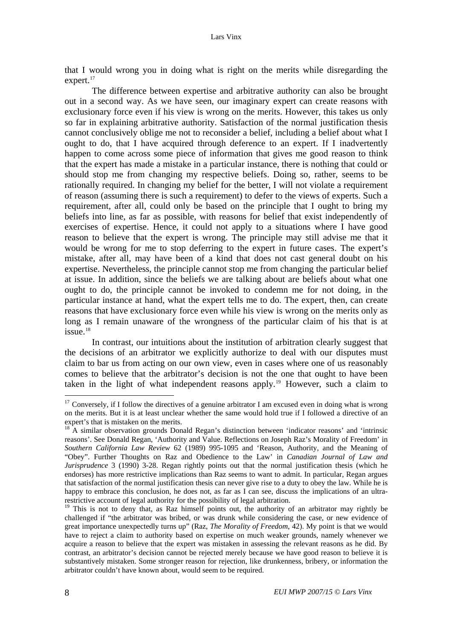<span id="page-13-0"></span>that I would wrong you in doing what is right on the merits while disregarding the expert.<sup>[17](#page-13-0)</sup>

The difference between expertise and arbitrative authority can also be brought out in a second way. As we have seen, our imaginary expert can create reasons with exclusionary force even if his view is wrong on the merits. However, this takes us only so far in explaining arbitrative authority. Satisfaction of the normal justification thesis cannot conclusively oblige me not to reconsider a belief, including a belief about what I ought to do, that I have acquired through deference to an expert. If I inadvertently happen to come across some piece of information that gives me good reason to think that the expert has made a mistake in a particular instance, there is nothing that could or should stop me from changing my respective beliefs. Doing so, rather, seems to be rationally required. In changing my belief for the better, I will not violate a requirement of reason (assuming there is such a requirement) to defer to the views of experts. Such a requirement, after all, could only be based on the principle that I ought to bring my beliefs into line, as far as possible, with reasons for belief that exist independently of exercises of expertise. Hence, it could not apply to a situations where I have good reason to believe that the expert is wrong. The principle may still advise me that it would be wrong for me to stop deferring to the expert in future cases. The expert's mistake, after all, may have been of a kind that does not cast general doubt on his expertise. Nevertheless, the principle cannot stop me from changing the particular belief at issue. In addition, since the beliefs we are talking about are beliefs about what one ought to do, the principle cannot be invoked to condemn me for not doing, in the particular instance at hand, what the expert tells me to do. The expert, then, can create reasons that have exclusionary force even while his view is wrong on the merits only as long as I remain unaware of the wrongness of the particular claim of his that is at  $i$ ssue.<sup>[18](#page-13-0)</sup>

In contrast, our intuitions about the institution of arbitration clearly suggest that the decisions of an arbitrator we explicitly authorize to deal with our disputes must claim to bar us from acting on our own view, even in cases where one of us reasonably comes to believe that the arbitrator's decision is not the one that ought to have been taken in the light of what independent reasons apply.<sup>[19](#page-13-0)</sup> However, such a claim to

 $17$  Conversely, if I follow the directives of a genuine arbitrator I am excused even in doing what is wrong on the merits. But it is at least unclear whether the same would hold true if I followed a directive of an expert's that is mistaken on the merits.

 $18$  A similar observation grounds Donald Regan's distinction between 'indicator reasons' and 'intrinsic reasons'. See Donald Regan, 'Authority and Value. Reflections on Joseph Raz's Morality of Freedom' in *Southern California Law Review* 62 (1989) 995-1095 and 'Reason, Authority, and the Meaning of "Obey". Further Thoughts on Raz and Obedience to the Law' in *Canadian Journal of Law and Jurisprudence* 3 (1990) 3-28. Regan rightly points out that the normal justification thesis (which he endorses) has more restrictive implications than Raz seems to want to admit. In particular, Regan argues that satisfaction of the normal justification thesis can never give rise to a duty to obey the law. While he is happy to embrace this conclusion, he does not, as far as I can see, discuss the implications of an ultrarestrictive account of legal authority for the possibility of legal arbitration.

<sup>&</sup>lt;sup>19</sup> This is not to deny that, as Raz himself points out, the authority of an arbitrator may rightly be challenged if "the arbitrator was bribed, or was drunk while considering the case, or new evidence of great importance unexpectedly turns up" (Raz, *The Morality of Freedom*, 42). My point is that we would have to reject a claim to authority based on expertise on much weaker grounds, namely whenever we acquire a reason to believe that the expert was mistaken in assessing the relevant reasons as he did. By contrast, an arbitrator's decision cannot be rejected merely because we have good reason to believe it is substantively mistaken. Some stronger reason for rejection, like drunkenness, bribery, or information the arbitrator couldn't have known about, would seem to be required.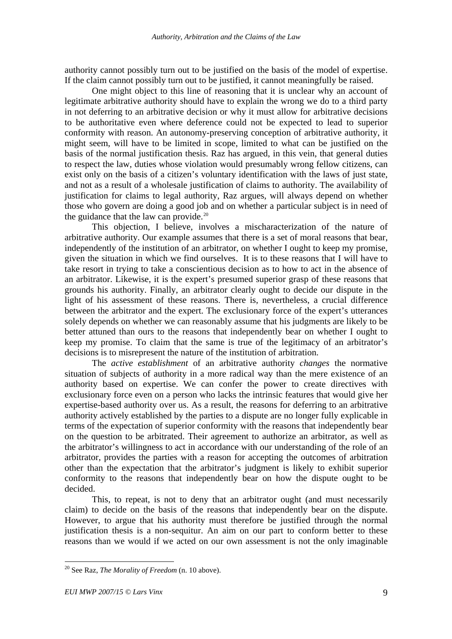<span id="page-14-0"></span>authority cannot possibly turn out to be justified on the basis of the model of expertise. If the claim cannot possibly turn out to be justified, it cannot meaningfully be raised.

One might object to this line of reasoning that it is unclear why an account of legitimate arbitrative authority should have to explain the wrong we do to a third party in not deferring to an arbitrative decision or why it must allow for arbitrative decisions to be authoritative even where deference could not be expected to lead to superior conformity with reason. An autonomy-preserving conception of arbitrative authority, it might seem, will have to be limited in scope, limited to what can be justified on the basis of the normal justification thesis. Raz has argued, in this vein, that general duties to respect the law, duties whose violation would presumably wrong fellow citizens, can exist only on the basis of a citizen's voluntary identification with the laws of just state, and not as a result of a wholesale justification of claims to authority. The availability of justification for claims to legal authority, Raz argues, will always depend on whether those who govern are doing a good job and on whether a particular subject is in need of the guidance that the law can provide. $20$ 

This objection, I believe, involves a mischaracterization of the nature of arbitrative authority. Our example assumes that there is a set of moral reasons that bear, independently of the institution of an arbitrator, on whether I ought to keep my promise, given the situation in which we find ourselves. It is to these reasons that I will have to take resort in trying to take a conscientious decision as to how to act in the absence of an arbitrator. Likewise, it is the expert's presumed superior grasp of these reasons that grounds his authority. Finally, an arbitrator clearly ought to decide our dispute in the light of his assessment of these reasons. There is, nevertheless, a crucial difference between the arbitrator and the expert. The exclusionary force of the expert's utterances solely depends on whether we can reasonably assume that his judgments are likely to be better attuned than ours to the reasons that independently bear on whether I ought to keep my promise. To claim that the same is true of the legitimacy of an arbitrator's decisions is to misrepresent the nature of the institution of arbitration.

The *active establishment* of an arbitrative authority *changes* the normative situation of subjects of authority in a more radical way than the mere existence of an authority based on expertise. We can confer the power to create directives with exclusionary force even on a person who lacks the intrinsic features that would give her expertise-based authority over us. As a result, the reasons for deferring to an arbitrative authority actively established by the parties to a dispute are no longer fully explicable in terms of the expectation of superior conformity with the reasons that independently bear on the question to be arbitrated. Their agreement to authorize an arbitrator, as well as the arbitrator's willingness to act in accordance with our understanding of the role of an arbitrator, provides the parties with a reason for accepting the outcomes of arbitration other than the expectation that the arbitrator's judgment is likely to exhibit superior conformity to the reasons that independently bear on how the dispute ought to be decided.

This, to repeat, is not to deny that an arbitrator ought (and must necessarily claim) to decide on the basis of the reasons that independently bear on the dispute. However, to argue that his authority must therefore be justified through the normal justification thesis is a non-sequitur. An aim on our part to conform better to these reasons than we would if we acted on our own assessment is not the only imaginable

<sup>20</sup> See Raz, *The Morality of Freedom* (n. 10 above).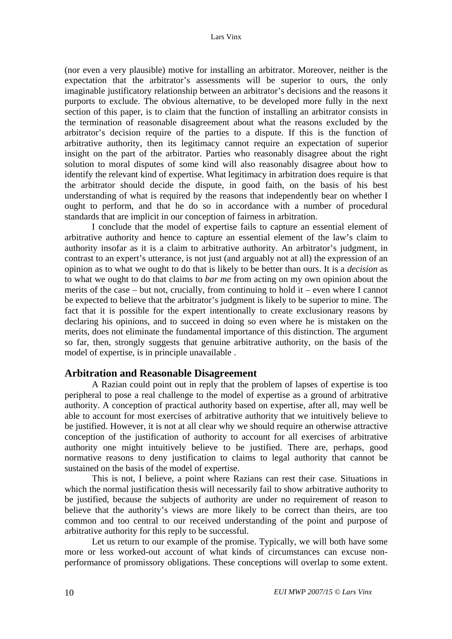(nor even a very plausible) motive for installing an arbitrator. Moreover, neither is the expectation that the arbitrator's assessments will be superior to ours, the only imaginable justificatory relationship between an arbitrator's decisions and the reasons it purports to exclude. The obvious alternative, to be developed more fully in the next section of this paper, is to claim that the function of installing an arbitrator consists in the termination of reasonable disagreement about what the reasons excluded by the arbitrator's decision require of the parties to a dispute. If this is the function of arbitrative authority, then its legitimacy cannot require an expectation of superior insight on the part of the arbitrator. Parties who reasonably disagree about the right solution to moral disputes of some kind will also reasonably disagree about how to identify the relevant kind of expertise. What legitimacy in arbitration does require is that the arbitrator should decide the dispute, in good faith, on the basis of his best understanding of what is required by the reasons that independently bear on whether I ought to perform, and that he do so in accordance with a number of procedural standards that are implicit in our conception of fairness in arbitration.

I conclude that the model of expertise fails to capture an essential element of arbitrative authority and hence to capture an essential element of the law's claim to authority insofar as it is a claim to arbitrative authority. An arbitrator's judgment, in contrast to an expert's utterance, is not just (and arguably not at all) the expression of an opinion as to what we ought to do that is likely to be better than ours. It is a *decision* as to what we ought to do that claims to *bar me* from acting on my own opinion about the merits of the case – but not, crucially, from continuing to hold it – even where I cannot be expected to believe that the arbitrator's judgment is likely to be superior to mine. The fact that it is possible for the expert intentionally to create exclusionary reasons by declaring his opinions, and to succeed in doing so even where he is mistaken on the merits, does not eliminate the fundamental importance of this distinction. The argument so far, then, strongly suggests that genuine arbitrative authority, on the basis of the model of expertise, is in principle unavailable .

### **Arbitration and Reasonable Disagreement**

A Razian could point out in reply that the problem of lapses of expertise is too peripheral to pose a real challenge to the model of expertise as a ground of arbitrative authority. A conception of practical authority based on expertise, after all, may well be able to account for most exercises of arbitrative authority that we intuitively believe to be justified. However, it is not at all clear why we should require an otherwise attractive conception of the justification of authority to account for all exercises of arbitrative authority one might intuitively believe to be justified. There are, perhaps, good normative reasons to deny justification to claims to legal authority that cannot be sustained on the basis of the model of expertise.

This is not, I believe, a point where Razians can rest their case. Situations in which the normal justification thesis will necessarily fail to show arbitrative authority to be justified, because the subjects of authority are under no requirement of reason to believe that the authority's views are more likely to be correct than theirs, are too common and too central to our received understanding of the point and purpose of arbitrative authority for this reply to be successful.

Let us return to our example of the promise. Typically, we will both have some more or less worked-out account of what kinds of circumstances can excuse nonperformance of promissory obligations. These conceptions will overlap to some extent.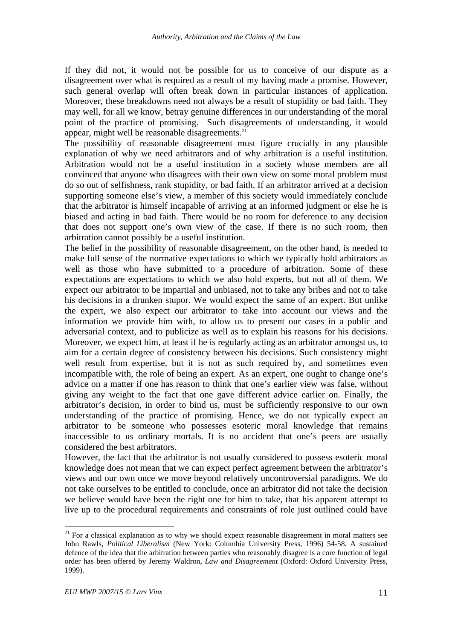<span id="page-16-0"></span>If they did not, it would not be possible for us to conceive of our dispute as a disagreement over what is required as a result of my having made a promise. However, such general overlap will often break down in particular instances of application. Moreover, these breakdowns need not always be a result of stupidity or bad faith. They may well, for all we know, betray genuine differences in our understanding of the moral point of the practice of promising. Such disagreements of understanding, it would appear, might well be reasonable disagreements.<sup>[21](#page-16-0)</sup>

The possibility of reasonable disagreement must figure crucially in any plausible explanation of why we need arbitrators and of why arbitration is a useful institution. Arbitration would not be a useful institution in a society whose members are all convinced that anyone who disagrees with their own view on some moral problem must do so out of selfishness, rank stupidity, or bad faith. If an arbitrator arrived at a decision supporting someone else's view, a member of this society would immediately conclude that the arbitrator is himself incapable of arriving at an informed judgment or else he is biased and acting in bad faith. There would be no room for deference to any decision that does not support one's own view of the case. If there is no such room, then arbitration cannot possibly be a useful institution.

The belief in the possibility of reasonable disagreement, on the other hand, is needed to make full sense of the normative expectations to which we typically hold arbitrators as well as those who have submitted to a procedure of arbitration. Some of these expectations are expectations to which we also hold experts, but not all of them. We expect our arbitrator to be impartial and unbiased, not to take any bribes and not to take his decisions in a drunken stupor. We would expect the same of an expert. But unlike the expert, we also expect our arbitrator to take into account our views and the information we provide him with, to allow us to present our cases in a public and adversarial context, and to publicize as well as to explain his reasons for his decisions. Moreover, we expect him, at least if he is regularly acting as an arbitrator amongst us, to aim for a certain degree of consistency between his decisions. Such consistency might well result from expertise, but it is not as such required by, and sometimes even incompatible with, the role of being an expert. As an expert, one ought to change one's advice on a matter if one has reason to think that one's earlier view was false, without giving any weight to the fact that one gave different advice earlier on. Finally, the arbitrator's decision, in order to bind us, must be sufficiently responsive to our own understanding of the practice of promising. Hence, we do not typically expect an arbitrator to be someone who possesses esoteric moral knowledge that remains inaccessible to us ordinary mortals. It is no accident that one's peers are usually considered the best arbitrators.

However, the fact that the arbitrator is not usually considered to possess esoteric moral knowledge does not mean that we can expect perfect agreement between the arbitrator's views and our own once we move beyond relatively uncontroversial paradigms. We do not take ourselves to be entitled to conclude, once an arbitrator did not take the decision we believe would have been the right one for him to take, that his apparent attempt to live up to the procedural requirements and constraints of role just outlined could have

 $21$  For a classical explanation as to why we should expect reasonable disagreement in moral matters see John Rawls, *Political Liberalism* (New York: Columbia University Press, 1996) 54-58. A sustained defence of the idea that the arbitration between parties who reasonably disagree is a core function of legal order has been offered by Jeremy Waldron, *Law and Disagreement* (Oxford: Oxford University Press, 1999).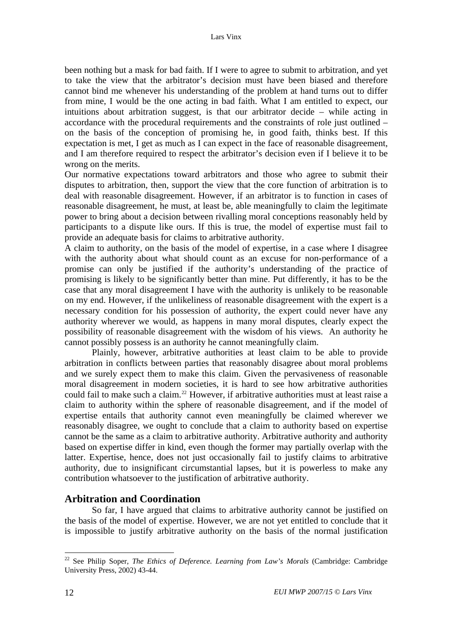<span id="page-17-0"></span>been nothing but a mask for bad faith. If I were to agree to submit to arbitration, and yet to take the view that the arbitrator's decision must have been biased and therefore cannot bind me whenever his understanding of the problem at hand turns out to differ from mine, I would be the one acting in bad faith. What I am entitled to expect, our intuitions about arbitration suggest, is that our arbitrator decide – while acting in accordance with the procedural requirements and the constraints of role just outlined – on the basis of the conception of promising he, in good faith, thinks best. If this expectation is met, I get as much as I can expect in the face of reasonable disagreement, and I am therefore required to respect the arbitrator's decision even if I believe it to be wrong on the merits.

Our normative expectations toward arbitrators and those who agree to submit their disputes to arbitration, then, support the view that the core function of arbitration is to deal with reasonable disagreement. However, if an arbitrator is to function in cases of reasonable disagreement, he must, at least be, able meaningfully to claim the legitimate power to bring about a decision between rivalling moral conceptions reasonably held by participants to a dispute like ours. If this is true, the model of expertise must fail to provide an adequate basis for claims to arbitrative authority.

A claim to authority, on the basis of the model of expertise, in a case where I disagree with the authority about what should count as an excuse for non-performance of a promise can only be justified if the authority's understanding of the practice of promising is likely to be significantly better than mine. Put differently, it has to be the case that any moral disagreement I have with the authority is unlikely to be reasonable on my end. However, if the unlikeliness of reasonable disagreement with the expert is a necessary condition for his possession of authority, the expert could never have any authority wherever we would, as happens in many moral disputes, clearly expect the possibility of reasonable disagreement with the wisdom of his views. An authority he cannot possibly possess is an authority he cannot meaningfully claim.

Plainly, however, arbitrative authorities at least claim to be able to provide arbitration in conflicts between parties that reasonably disagree about moral problems and we surely expect them to make this claim. Given the pervasiveness of reasonable moral disagreement in modern societies, it is hard to see how arbitrative authorities could fail to make such a claim.<sup>[22](#page-17-0)</sup> However, if arbitrative authorities must at least raise a claim to authority within the sphere of reasonable disagreement, and if the model of expertise entails that authority cannot even meaningfully be claimed wherever we reasonably disagree, we ought to conclude that a claim to authority based on expertise cannot be the same as a claim to arbitrative authority. Arbitrative authority and authority based on expertise differ in kind, even though the former may partially overlap with the latter. Expertise, hence, does not just occasionally fail to justify claims to arbitrative authority, due to insignificant circumstantial lapses, but it is powerless to make any contribution whatsoever to the justification of arbitrative authority.

## **Arbitration and Coordination**

So far, I have argued that claims to arbitrative authority cannot be justified on the basis of the model of expertise. However, we are not yet entitled to conclude that it is impossible to justify arbitrative authority on the basis of the normal justification

<sup>22</sup> See Philip Soper, *The Ethics of Deference. Learning from Law's Morals* (Cambridge: Cambridge University Press, 2002) 43-44.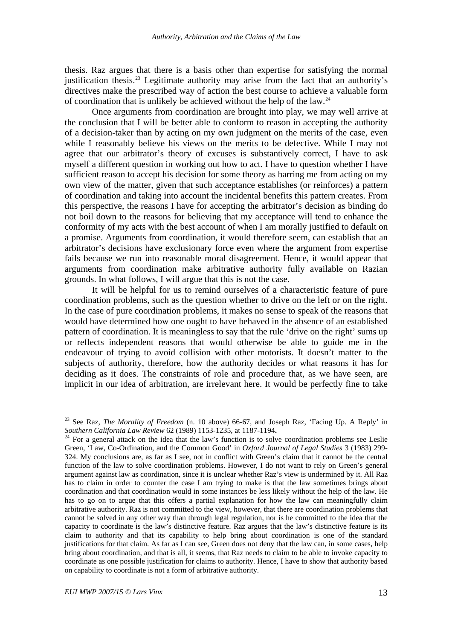<span id="page-18-0"></span>thesis. Raz argues that there is a basis other than expertise for satisfying the normal justification thesis.[23](#page-18-0) Legitimate authority may arise from the fact that an authority's directives make the prescribed way of action the best course to achieve a valuable form of coordination that is unlikely be achieved without the help of the law.[24](#page-18-0)

Once arguments from coordination are brought into play, we may well arrive at the conclusion that I will be better able to conform to reason in accepting the authority of a decision-taker than by acting on my own judgment on the merits of the case, even while I reasonably believe his views on the merits to be defective. While I may not agree that our arbitrator's theory of excuses is substantively correct, I have to ask myself a different question in working out how to act. I have to question whether I have sufficient reason to accept his decision for some theory as barring me from acting on my own view of the matter, given that such acceptance establishes (or reinforces) a pattern of coordination and taking into account the incidental benefits this pattern creates. From this perspective, the reasons I have for accepting the arbitrator's decision as binding do not boil down to the reasons for believing that my acceptance will tend to enhance the conformity of my acts with the best account of when I am morally justified to default on a promise. Arguments from coordination, it would therefore seem, can establish that an arbitrator's decisions have exclusionary force even where the argument from expertise fails because we run into reasonable moral disagreement. Hence, it would appear that arguments from coordination make arbitrative authority fully available on Razian grounds. In what follows, I will argue that this is not the case.

It will be helpful for us to remind ourselves of a characteristic feature of pure coordination problems, such as the question whether to drive on the left or on the right. In the case of pure coordination problems, it makes no sense to speak of the reasons that would have determined how one ought to have behaved in the absence of an established pattern of coordination. It is meaningless to say that the rule 'drive on the right' sums up or reflects independent reasons that would otherwise be able to guide me in the endeavour of trying to avoid collision with other motorists. It doesn't matter to the subjects of authority, therefore, how the authority decides or what reasons it has for deciding as it does. The constraints of role and procedure that, as we have seen, are implicit in our idea of arbitration, are irrelevant here. It would be perfectly fine to take

<sup>23</sup> See Raz, *The Morality of Freedom* (n. 10 above) 66-67, and Joseph Raz, 'Facing Up. A Reply' in *Southern California Law Review* 62 (1989) 1153-1235, at 1187-1194.<br><sup>24</sup> For a general attack on the idea that the law's function is to solve coordination problems see Leslie

Green, 'Law, Co-Ordination, and the Common Good' in *Oxford Journal of Legal Studies* 3 (1983) 299- 324. My conclusions are, as far as I see, not in conflict with Green's claim that it cannot be the central function of the law to solve coordination problems. However, I do not want to rely on Green's general argument against law as coordination, since it is unclear whether Raz's view is undermined by it. All Raz has to claim in order to counter the case I am trying to make is that the law sometimes brings about coordination and that coordination would in some instances be less likely without the help of the law. He has to go on to argue that this offers a partial explanation for how the law can meaningfully claim arbitrative authority. Raz is not committed to the view, however, that there are coordination problems that cannot be solved in any other way than through legal regulation, nor is he committed to the idea that the capacity to coordinate is the law's distinctive feature. Raz argues that the law's distinctive feature is its claim to authority and that its capability to help bring about coordination is one of the standard justifications for that claim. As far as I can see, Green does not deny that the law can, in some cases, help bring about coordination, and that is all, it seems, that Raz needs to claim to be able to invoke capacity to coordinate as one possible justification for claims to authority. Hence, I have to show that authority based on capability to coordinate is not a form of arbitrative authority.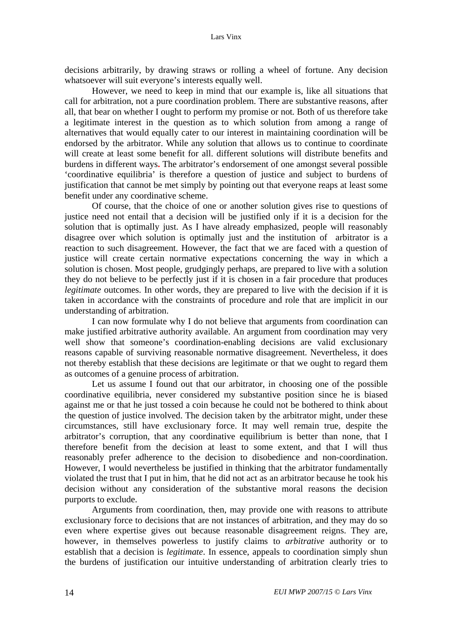decisions arbitrarily, by drawing straws or rolling a wheel of fortune. Any decision whatsoever will suit everyone's interests equally well.

However, we need to keep in mind that our example is, like all situations that call for arbitration, not a pure coordination problem. There are substantive reasons, after all, that bear on whether I ought to perform my promise or not. Both of us therefore take a legitimate interest in the question as to which solution from among a range of alternatives that would equally cater to our interest in maintaining coordination will be endorsed by the arbitrator. While any solution that allows us to continue to coordinate will create at least some benefit for all. different solutions will distribute benefits and burdens in different ways**.** The arbitrator's endorsement of one amongst several possible 'coordinative equilibria' is therefore a question of justice and subject to burdens of justification that cannot be met simply by pointing out that everyone reaps at least some benefit under any coordinative scheme.

Of course, that the choice of one or another solution gives rise to questions of justice need not entail that a decision will be justified only if it is a decision for the solution that is optimally just. As I have already emphasized, people will reasonably disagree over which solution is optimally just and the institution of arbitrator is a reaction to such disagreement. However, the fact that we are faced with a question of justice will create certain normative expectations concerning the way in which a solution is chosen. Most people, grudgingly perhaps, are prepared to live with a solution they do not believe to be perfectly just if it is chosen in a fair procedure that produces *legitimate* outcomes. In other words, they are prepared to live with the decision if it is taken in accordance with the constraints of procedure and role that are implicit in our understanding of arbitration.

I can now formulate why I do not believe that arguments from coordination can make justified arbitrative authority available. An argument from coordination may very well show that someone's coordination-enabling decisions are valid exclusionary reasons capable of surviving reasonable normative disagreement. Nevertheless, it does not thereby establish that these decisions are legitimate or that we ought to regard them as outcomes of a genuine process of arbitration.

Let us assume I found out that our arbitrator, in choosing one of the possible coordinative equilibria, never considered my substantive position since he is biased against me or that he just tossed a coin because he could not be bothered to think about the question of justice involved. The decision taken by the arbitrator might, under these circumstances, still have exclusionary force. It may well remain true, despite the arbitrator's corruption, that any coordinative equilibrium is better than none, that I therefore benefit from the decision at least to some extent, and that I will thus reasonably prefer adherence to the decision to disobedience and non-coordination. However, I would nevertheless be justified in thinking that the arbitrator fundamentally violated the trust that I put in him, that he did not act as an arbitrator because he took his decision without any consideration of the substantive moral reasons the decision purports to exclude.

Arguments from coordination, then, may provide one with reasons to attribute exclusionary force to decisions that are not instances of arbitration, and they may do so even where expertise gives out because reasonable disagreement reigns. They are, however, in themselves powerless to justify claims to *arbitrative* authority or to establish that a decision is *legitimate*. In essence, appeals to coordination simply shun the burdens of justification our intuitive understanding of arbitration clearly tries to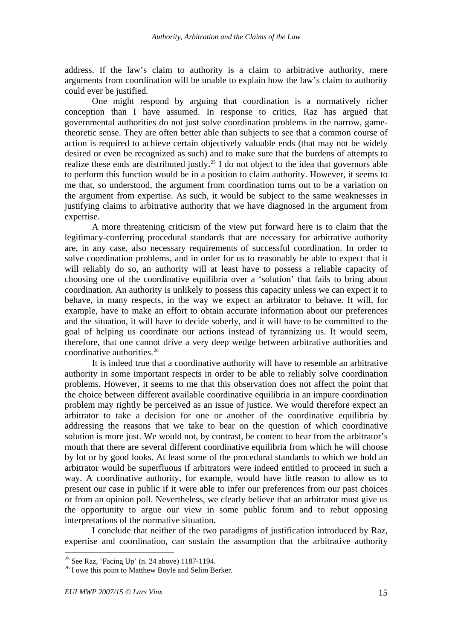<span id="page-20-0"></span>address. If the law's claim to authority is a claim to arbitrative authority, mere arguments from coordination will be unable to explain how the law's claim to authority could ever be justified.

One might respond by arguing that coordination is a normatively richer conception than I have assumed. In response to critics, Raz has argued that governmental authorities do not just solve coordination problems in the narrow, gametheoretic sense. They are often better able than subjects to see that a common course of action is required to achieve certain objectively valuable ends (that may not be widely desired or even be recognized as such) and to make sure that the burdens of attempts to realize these ends are distributed justly.<sup>[25](#page-20-0)</sup> I do not object to the idea that governors able to perform this function would be in a position to claim authority. However, it seems to me that, so understood, the argument from coordination turns out to be a variation on the argument from expertise. As such, it would be subject to the same weaknesses in justifying claims to arbitrative authority that we have diagnosed in the argument from expertise.

A more threatening criticism of the view put forward here is to claim that the legitimacy-conferring procedural standards that are necessary for arbitrative authority are, in any case, also necessary requirements of successful coordination. In order to solve coordination problems, and in order for us to reasonably be able to expect that it will reliably do so, an authority will at least have to possess a reliable capacity of choosing one of the coordinative equilibria over a 'solution' that fails to bring about coordination. An authority is unlikely to possess this capacity unless we can expect it to behave, in many respects, in the way we expect an arbitrator to behave. It will, for example, have to make an effort to obtain accurate information about our preferences and the situation, it will have to decide soberly, and it will have to be committed to the goal of helping us coordinate our actions instead of tyrannizing us. It would seem, therefore, that one cannot drive a very deep wedge between arbitrative authorities and coordinative authorities.[26](#page-20-0)

It is indeed true that a coordinative authority will have to resemble an arbitrative authority in some important respects in order to be able to reliably solve coordination problems. However, it seems to me that this observation does not affect the point that the choice between different available coordinative equilibria in an impure coordination problem may rightly be perceived as an issue of justice. We would therefore expect an arbitrator to take a decision for one or another of the coordinative equilibria by addressing the reasons that we take to bear on the question of which coordinative solution is more just. We would not, by contrast, be content to hear from the arbitrator's mouth that there are several different coordinative equilibria from which he will choose by lot or by good looks. At least some of the procedural standards to which we hold an arbitrator would be superfluous if arbitrators were indeed entitled to proceed in such a way. A coordinative authority, for example, would have little reason to allow us to present our case in public if it were able to infer our preferences from our past choices or from an opinion poll. Nevertheless, we clearly believe that an arbitrator must give us the opportunity to argue our view in some public forum and to rebut opposing interpretations of the normative situation.

I conclude that neither of the two paradigms of justification introduced by Raz, expertise and coordination, can sustain the assumption that the arbitrative authority

<sup>&</sup>lt;sup>25</sup> See Raz, 'Facing Up' (n. 24 above) 1187-1194.

<sup>&</sup>lt;sup>26</sup> I owe this point to Matthew Boyle and Selim Berker.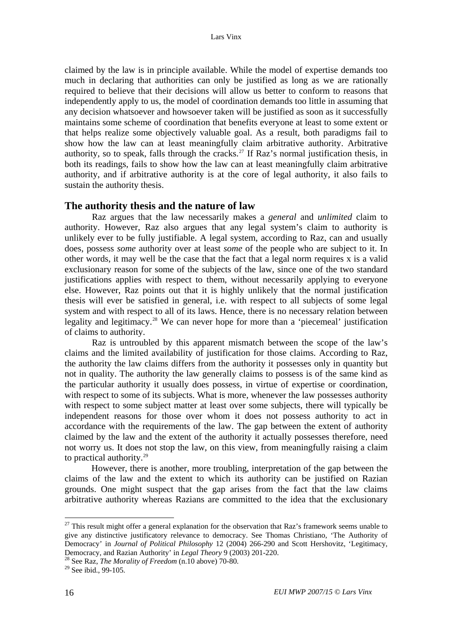<span id="page-21-0"></span>claimed by the law is in principle available. While the model of expertise demands too much in declaring that authorities can only be justified as long as we are rationally required to believe that their decisions will allow us better to conform to reasons that independently apply to us, the model of coordination demands too little in assuming that any decision whatsoever and howsoever taken will be justified as soon as it successfully maintains some scheme of coordination that benefits everyone at least to some extent or that helps realize some objectively valuable goal. As a result, both paradigms fail to show how the law can at least meaningfully claim arbitrative authority. Arbitrative authority, so to speak, falls through the cracks.<sup>[27](#page-21-0)</sup> If Raz's normal justification thesis, in both its readings, fails to show how the law can at least meaningfully claim arbitrative authority, and if arbitrative authority is at the core of legal authority, it also fails to sustain the authority thesis.

#### **The authority thesis and the nature of law**

Raz argues that the law necessarily makes a *general* and *unlimited* claim to authority. However, Raz also argues that any legal system's claim to authority is unlikely ever to be fully justifiable. A legal system, according to Raz, can and usually does, possess *some* authority over at least *some* of the people who are subject to it. In other words, it may well be the case that the fact that a legal norm requires x is a valid exclusionary reason for some of the subjects of the law, since one of the two standard justifications applies with respect to them, without necessarily applying to everyone else. However, Raz points out that it is highly unlikely that the normal justification thesis will ever be satisfied in general, i.e. with respect to all subjects of some legal system and with respect to all of its laws. Hence, there is no necessary relation between legality and legitimacy.<sup>[28](#page-21-0)</sup> We can never hope for more than a 'piecemeal' justification of claims to authority.

Raz is untroubled by this apparent mismatch between the scope of the law's claims and the limited availability of justification for those claims. According to Raz, the authority the law claims differs from the authority it possesses only in quantity but not in quality. The authority the law generally claims to possess is of the same kind as the particular authority it usually does possess, in virtue of expertise or coordination, with respect to some of its subjects. What is more, whenever the law possesses authority with respect to some subject matter at least over some subjects, there will typically be independent reasons for those over whom it does not possess authority to act in accordance with the requirements of the law. The gap between the extent of authority claimed by the law and the extent of the authority it actually possesses therefore, need not worry us. It does not stop the law, on this view, from meaningfully raising a claim to practical authority. $29$ 

 However, there is another, more troubling, interpretation of the gap between the claims of the law and the extent to which its authority can be justified on Razian grounds. One might suspect that the gap arises from the fact that the law claims arbitrative authority whereas Razians are committed to the idea that the exclusionary

 $27$  This result might offer a general explanation for the observation that Raz's framework seems unable to give any distinctive justificatory relevance to democracy. See Thomas Christiano, 'The Authority of Democracy' in *Journal of Political Philosophy* 12 (2004) 266-290 and Scott Hershovitz, 'Legitimacy,

<sup>&</sup>lt;sup>28</sup> See Raz, *The Morality of Freedom* (n.10 above) 70-80.

<sup>&</sup>lt;sup>29</sup> See ibid., 99-105.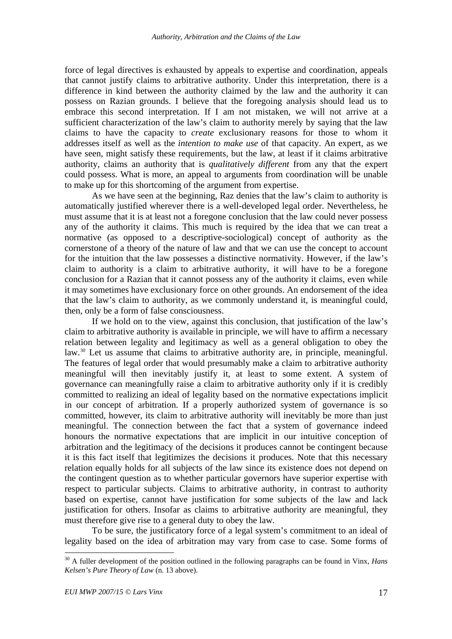<span id="page-22-0"></span>force of legal directives is exhausted by appeals to expertise and coordination, appeals that cannot justify claims to arbitrative authority. Under this interpretation, there is a difference in kind between the authority claimed by the law and the authority it can possess on Razian grounds. I believe that the foregoing analysis should lead us to embrace this second interpretation. If I am not mistaken, we will not arrive at a sufficient characterization of the law's claim to authority merely by saying that the law claims to have the capacity to *create* exclusionary reasons for those to whom it addresses itself as well as the *intention to make use* of that capacity. An expert, as we have seen, might satisfy these requirements, but the law, at least if it claims arbitrative authority, claims an authority that is *qualitatively different* from any that the expert could possess. What is more, an appeal to arguments from coordination will be unable to make up for this shortcoming of the argument from expertise.

As we have seen at the beginning, Raz denies that the law's claim to authority is automatically justified wherever there is a well-developed legal order. Nevertheless, he must assume that it is at least not a foregone conclusion that the law could never possess any of the authority it claims. This much is required by the idea that we can treat a normative (as opposed to a descriptive-sociological) concept of authority as the cornerstone of a theory of the nature of law and that we can use the concept to account for the intuition that the law possesses a distinctive normativity. However, if the law's claim to authority is a claim to arbitrative authority, it will have to be a foregone conclusion for a Razian that it cannot possess any of the authority it claims, even while it may sometimes have exclusionary force on other grounds. An endorsement of the idea that the law's claim to authority, as we commonly understand it, is meaningful could, then, only be a form of false consciousness.

If we hold on to the view, against this conclusion, that justification of the law's claim to arbitrative authority is available in principle, we will have to affirm a necessary relation between legality and legitimacy as well as a general obligation to obey the law.<sup>[30](#page-22-0)</sup> Let us assume that claims to arbitrative authority are, in principle, meaningful. The features of legal order that would presumably make a claim to arbitrative authority meaningful will then inevitably justify it, at least to some extent. A system of governance can meaningfully raise a claim to arbitrative authority only if it is credibly committed to realizing an ideal of legality based on the normative expectations implicit in our concept of arbitration. If a properly authorized system of governance is so committed, however, its claim to arbitrative authority will inevitably be more than just meaningful. The connection between the fact that a system of governance indeed honours the normative expectations that are implicit in our intuitive conception of arbitration and the legitimacy of the decisions it produces cannot be contingent because it is this fact itself that legitimizes the decisions it produces. Note that this necessary relation equally holds for all subjects of the law since its existence does not depend on the contingent question as to whether particular governors have superior expertise with respect to particular subjects. Claims to arbitrative authority, in contrast to authority based on expertise, cannot have justification for some subjects of the law and lack justification for others. Insofar as claims to arbitrative authority are meaningful, they must therefore give rise to a general duty to obey the law.

To be sure, the justificatory force of a legal system's commitment to an ideal of legality based on the idea of arbitration may vary from case to case. Some forms of

<sup>30</sup> A fuller development of the position outlined in the following paragraphs can be found in Vinx, *Hans Kelsen's Pure Theory of Law* (n. 13 above).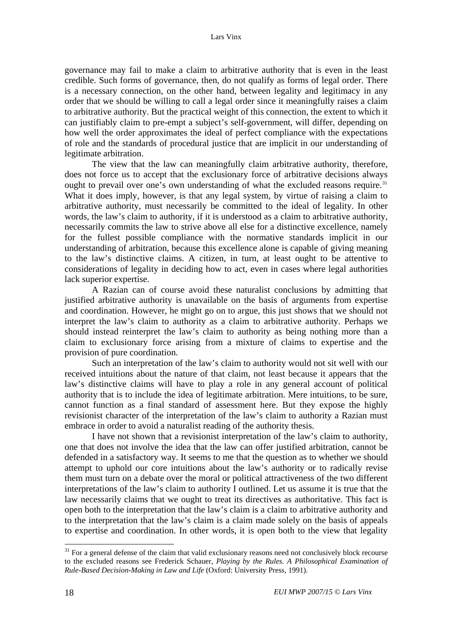<span id="page-23-0"></span>governance may fail to make a claim to arbitrative authority that is even in the least credible. Such forms of governance, then, do not qualify as forms of legal order. There is a necessary connection, on the other hand, between legality and legitimacy in any order that we should be willing to call a legal order since it meaningfully raises a claim to arbitrative authority. But the practical weight of this connection, the extent to which it can justifiably claim to pre-empt a subject's self-government, will differ, depending on how well the order approximates the ideal of perfect compliance with the expectations of role and the standards of procedural justice that are implicit in our understanding of legitimate arbitration.

The view that the law can meaningfully claim arbitrative authority, therefore, does not force us to accept that the exclusionary force of arbitrative decisions always ought to prevail over one's own understanding of what the excluded reasons require.<sup>[31](#page-23-0)</sup> What it does imply, however, is that any legal system, by virtue of raising a claim to arbitrative authority, must necessarily be committed to the ideal of legality. In other words, the law's claim to authority, if it is understood as a claim to arbitrative authority, necessarily commits the law to strive above all else for a distinctive excellence, namely for the fullest possible compliance with the normative standards implicit in our understanding of arbitration, because this excellence alone is capable of giving meaning to the law's distinctive claims. A citizen, in turn, at least ought to be attentive to considerations of legality in deciding how to act, even in cases where legal authorities lack superior expertise.

A Razian can of course avoid these naturalist conclusions by admitting that justified arbitrative authority is unavailable on the basis of arguments from expertise and coordination. However, he might go on to argue, this just shows that we should not interpret the law's claim to authority as a claim to arbitrative authority. Perhaps we should instead reinterpret the law's claim to authority as being nothing more than a claim to exclusionary force arising from a mixture of claims to expertise and the provision of pure coordination.

Such an interpretation of the law's claim to authority would not sit well with our received intuitions about the nature of that claim, not least because it appears that the law's distinctive claims will have to play a role in any general account of political authority that is to include the idea of legitimate arbitration. Mere intuitions, to be sure, cannot function as a final standard of assessment here. But they expose the highly revisionist character of the interpretation of the law's claim to authority a Razian must embrace in order to avoid a naturalist reading of the authority thesis.

I have not shown that a revisionist interpretation of the law's claim to authority, one that does not involve the idea that the law can offer justified arbitration, cannot be defended in a satisfactory way. It seems to me that the question as to whether we should attempt to uphold our core intuitions about the law's authority or to radically revise them must turn on a debate over the moral or political attractiveness of the two different interpretations of the law's claim to authority I outlined. Let us assume it is true that the law necessarily claims that we ought to treat its directives as authoritative. This fact is open both to the interpretation that the law's claim is a claim to arbitrative authority and to the interpretation that the law's claim is a claim made solely on the basis of appeals to expertise and coordination. In other words, it is open both to the view that legality

 $31$  For a general defense of the claim that valid exclusionary reasons need not conclusively block recourse to the excluded reasons see Frederick Schauer, *Playing by the Rules. A Philosophical Examination of Rule-Based Decision-Making in Law and Life* (Oxford: University Press, 1991).